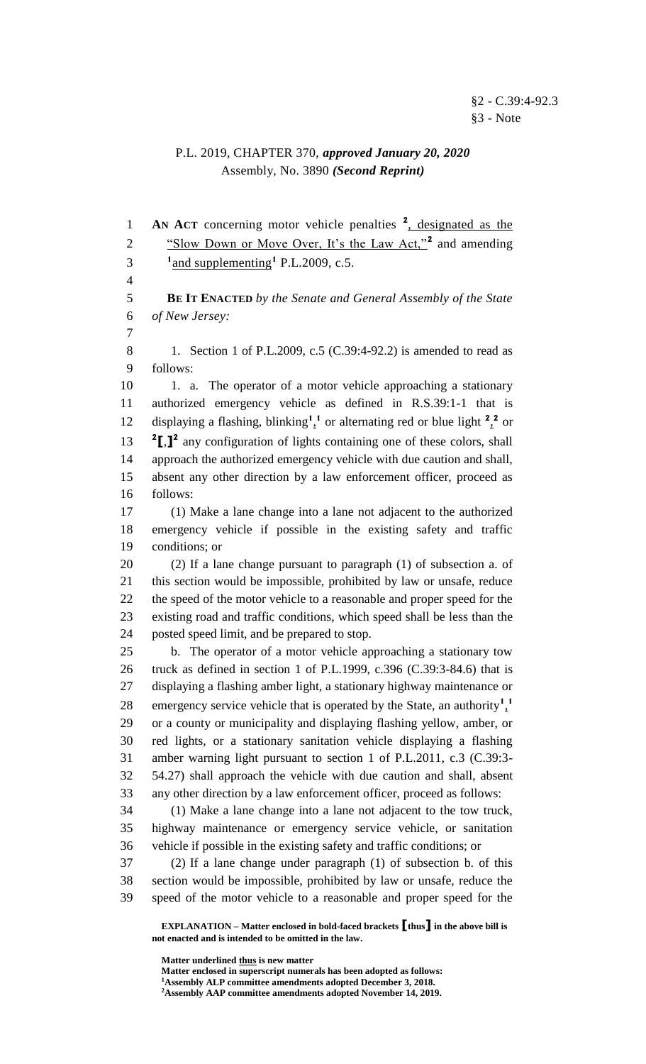## P.L. 2019, CHAPTER 370, *approved January 20, 2020* Assembly, No. 3890 *(Second Reprint)*

**AN ACT** concerning motor vehicle penalties <sup>2</sup>, designated as the <sup>2</sup> "Slow Down or Move Over, It's the Law Act,"<sup>2</sup> and amending  $1<sup>1</sup>$  and supplementing<sup>1</sup> P.L.2009, c.5. **BE IT ENACTED** *by the Senate and General Assembly of the State of New Jersey:* 8 1. Section 1 of P.L.2009, c.5 (C.39:4-92.2) is amended to read as follows: 10 1. a. The operator of a motor vehicle approaching a stationary authorized emergency vehicle as defined in R.S.39:1-1 that is 12 displaying a flashing, blinking<sup>1</sup><sup>1</sup> or alternating red or blue light  $2^2$  or **[**,**] 2** any configuration of lights containing one of these colors, shall approach the authorized emergency vehicle with due caution and shall, absent any other direction by a law enforcement officer, proceed as follows: (1) Make a lane change into a lane not adjacent to the authorized emergency vehicle if possible in the existing safety and traffic conditions; or (2) If a lane change pursuant to paragraph (1) of subsection a. of this section would be impossible, prohibited by law or unsafe, reduce the speed of the motor vehicle to a reasonable and proper speed for the existing road and traffic conditions, which speed shall be less than the posted speed limit, and be prepared to stop. b. The operator of a motor vehicle approaching a stationary tow truck as defined in section 1 of P.L.1999, c.396 (C.39:3-84.6) that is displaying a flashing amber light, a stationary highway maintenance or emergency service vehicle that is operated by the State, an authority<sup>1</sup><sup>1</sup> or a county or municipality and displaying flashing yellow, amber, or red lights, or a stationary sanitation vehicle displaying a flashing amber warning light pursuant to section 1 of P.L.2011, c.3 (C.39:3- 54.27) shall approach the vehicle with due caution and shall, absent any other direction by a law enforcement officer, proceed as follows: (1) Make a lane change into a lane not adjacent to the tow truck, highway maintenance or emergency service vehicle, or sanitation vehicle if possible in the existing safety and traffic conditions; or (2) If a lane change under paragraph (1) of subsection b. of this section would be impossible, prohibited by law or unsafe, reduce the speed of the motor vehicle to a reasonable and proper speed for the

**Matter enclosed in superscript numerals has been adopted as follows:**

**EXPLANATION – Matter enclosed in bold-faced brackets [thus] in the above bill is not enacted and is intended to be omitted in the law.**

**Matter underlined thus is new matter**

**Assembly ALP committee amendments adopted December 3, 2018.**

**Assembly AAP committee amendments adopted November 14, 2019.**